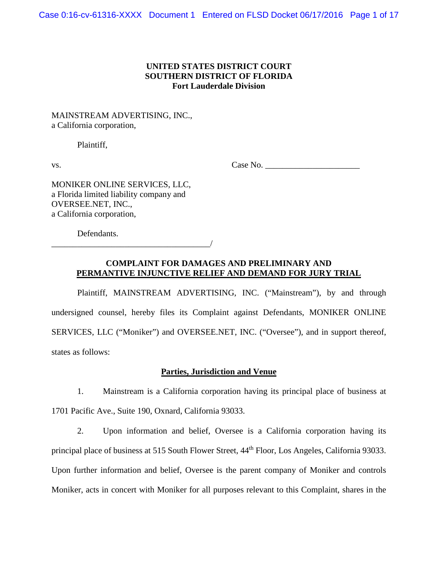Case 0:16-cv-61316-XXXX Document 1 Entered on FLSD Docket 06/17/2016 Page 1 of 17

### **UNITED STATES DISTRICT COURT SOUTHERN DISTRICT OF FLORIDA Fort Lauderdale Division**

MAINSTREAM ADVERTISING, INC., a California corporation,

Plaintiff,

vs.  $Case No.$ 

MONIKER ONLINE SERVICES, LLC, a Florida limited liability company and OVERSEE.NET, INC., a California corporation,

\_\_\_\_\_\_\_\_\_\_\_\_\_\_\_\_\_\_\_\_\_\_\_\_\_\_\_\_\_\_\_\_\_\_\_\_\_/

Defendants.

# **COMPLAINT FOR DAMAGES AND PRELIMINARY AND PERMANTIVE INJUNCTIVE RELIEF AND DEMAND FOR JURY TRIAL**

Plaintiff, MAINSTREAM ADVERTISING, INC. ("Mainstream"), by and through undersigned counsel, hereby files its Complaint against Defendants, MONIKER ONLINE SERVICES, LLC ("Moniker") and OVERSEE.NET, INC. ("Oversee"), and in support thereof, states as follows:

## **Parties, Jurisdiction and Venue**

1. Mainstream is a California corporation having its principal place of business at 1701 Pacific Ave., Suite 190, Oxnard, California 93033.

2. Upon information and belief, Oversee is a California corporation having its principal place of business at 515 South Flower Street,  $44<sup>th</sup>$  Floor, Los Angeles, California 93033. Upon further information and belief, Oversee is the parent company of Moniker and controls Moniker, acts in concert with Moniker for all purposes relevant to this Complaint, shares in the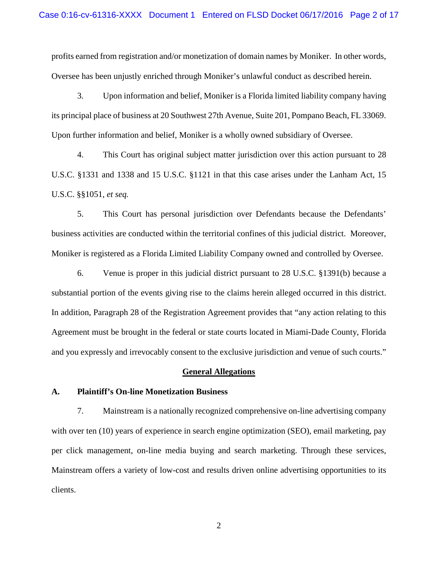profits earned from registration and/or monetization of domain names by Moniker. In other words, Oversee has been unjustly enriched through Moniker's unlawful conduct as described herein.

3. Upon information and belief, Moniker is a Florida limited liability company having its principal place of business at 20 Southwest 27th Avenue, Suite 201, Pompano Beach, FL 33069. Upon further information and belief, Moniker is a wholly owned subsidiary of Oversee.

4. This Court has original subject matter jurisdiction over this action pursuant to 28 U.S.C. §1331 and 1338 and 15 U.S.C. §1121 in that this case arises under the Lanham Act, 15 U.S.C. §§1051, *et seq.*

5. This Court has personal jurisdiction over Defendants because the Defendants' business activities are conducted within the territorial confines of this judicial district. Moreover, Moniker is registered as a Florida Limited Liability Company owned and controlled by Oversee.

6. Venue is proper in this judicial district pursuant to 28 U.S.C. §1391(b) because a substantial portion of the events giving rise to the claims herein alleged occurred in this district. In addition, Paragraph 28 of the Registration Agreement provides that "any action relating to this Agreement must be brought in the federal or state courts located in Miami-Dade County, Florida and you expressly and irrevocably consent to the exclusive jurisdiction and venue of such courts."

#### **General Allegations**

#### **A. Plaintiff's On-line Monetization Business**

7. Mainstream is a nationally recognized comprehensive on-line advertising company with over ten (10) years of experience in search engine optimization (SEO), email marketing, pay per click management, on-line media buying and search marketing. Through these services, Mainstream offers a variety of low-cost and results driven online advertising opportunities to its clients.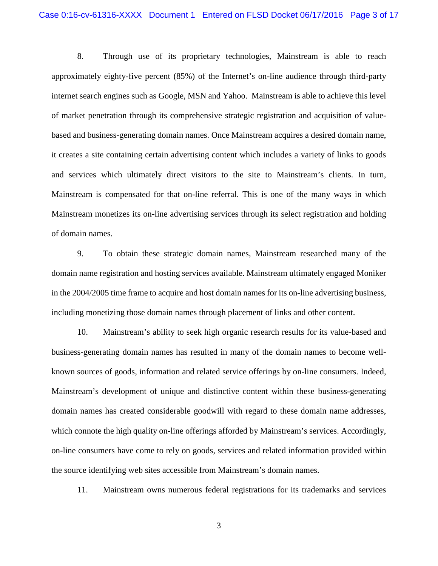8. Through use of its proprietary technologies, Mainstream is able to reach approximately eighty-five percent (85%) of the Internet's on-line audience through third-party internet search engines such as Google, MSN and Yahoo. Mainstream is able to achieve this level of market penetration through its comprehensive strategic registration and acquisition of valuebased and business-generating domain names. Once Mainstream acquires a desired domain name, it creates a site containing certain advertising content which includes a variety of links to goods and services which ultimately direct visitors to the site to Mainstream's clients. In turn, Mainstream is compensated for that on-line referral. This is one of the many ways in which Mainstream monetizes its on-line advertising services through its select registration and holding of domain names.

9. To obtain these strategic domain names, Mainstream researched many of the domain name registration and hosting services available. Mainstream ultimately engaged Moniker in the 2004/2005 time frame to acquire and host domain names for its on-line advertising business, including monetizing those domain names through placement of links and other content.

10. Mainstream's ability to seek high organic research results for its value-based and business-generating domain names has resulted in many of the domain names to become wellknown sources of goods, information and related service offerings by on-line consumers. Indeed, Mainstream's development of unique and distinctive content within these business-generating domain names has created considerable goodwill with regard to these domain name addresses, which connote the high quality on-line offerings afforded by Mainstream's services. Accordingly, on-line consumers have come to rely on goods, services and related information provided within the source identifying web sites accessible from Mainstream's domain names.

11. Mainstream owns numerous federal registrations for its trademarks and services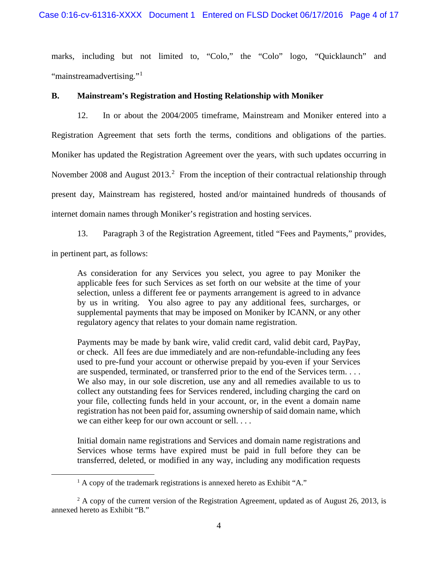marks, including but not limited to, "Colo," the "Colo" logo, "Quicklaunch" and "mainstreamadvertising."<sup>[1](#page-3-0)</sup>

#### **B. Mainstream's Registration and Hosting Relationship with Moniker**

12. In or about the 2004/2005 timeframe, Mainstream and Moniker entered into a Registration Agreement that sets forth the terms, conditions and obligations of the parties. Moniker has updated the Registration Agreement over the years, with such updates occurring in November [2](#page-3-1)008 and August  $2013<sup>2</sup>$  From the inception of their contractual relationship through present day, Mainstream has registered, hosted and/or maintained hundreds of thousands of internet domain names through Moniker's registration and hosting services.

13. Paragraph 3 of the Registration Agreement, titled "Fees and Payments," provides, in pertinent part, as follows:

As consideration for any Services you select, you agree to pay Moniker the applicable fees for such Services as set forth on our website at the time of your selection, unless a different fee or payments arrangement is agreed to in advance by us in writing. You also agree to pay any additional fees, surcharges, or supplemental payments that may be imposed on Moniker by ICANN, or any other regulatory agency that relates to your domain name registration.

Payments may be made by bank wire, valid credit card, valid debit card, PayPay, or check. All fees are due immediately and are non-refundable-including any fees used to pre-fund your account or otherwise prepaid by you-even if your Services are suspended, terminated, or transferred prior to the end of the Services term. . . . We also may, in our sole discretion, use any and all remedies available to us to collect any outstanding fees for Services rendered, including charging the card on your file, collecting funds held in your account, or, in the event a domain name registration has not been paid for, assuming ownership of said domain name, which we can either keep for our own account or sell. . . .

Initial domain name registrations and Services and domain name registrations and Services whose terms have expired must be paid in full before they can be transferred, deleted, or modified in any way, including any modification requests

<span id="page-3-0"></span>l

 $<sup>1</sup>$  A copy of the trademark registrations is annexed hereto as Exhibit "A."</sup>

<span id="page-3-1"></span> $2^2$  A copy of the current version of the Registration Agreement, updated as of August 26, 2013, is annexed hereto as Exhibit "B."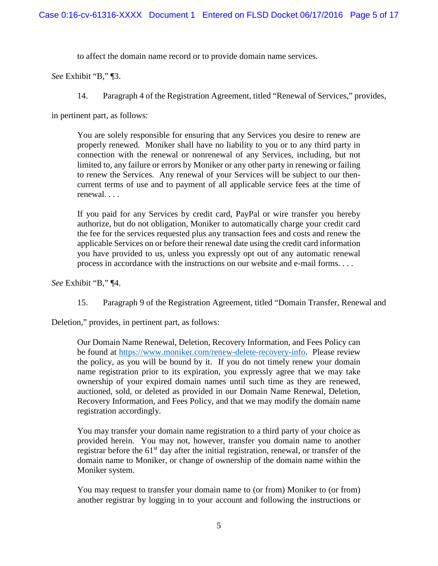to affect the domain name record or to provide domain name services.

*See* Exhibit "B," ¶3.

14. Paragraph 4 of the Registration Agreement, titled "Renewal of Services," provides,

in pertinent part, as follows:

You are solely responsible for ensuring that any Services you desire to renew are properly renewed. Moniker shall have no liability to you or to any third party in connection with the renewal or nonrenewal of any Services, including, but not limited to, any failure or errors by Moniker or any other party in renewing or failing to renew the Services. Any renewal of your Services will be subject to our thencurrent terms of use and to payment of all applicable service fees at the time of renewal. . . .

If you paid for any Services by credit card, PayPal or wire transfer you hereby authorize, but do not obligation, Moniker to automatically charge your credit card the fee for the services requested plus any transaction fees and costs and renew the applicable Services on or before their renewal date using the credit card information you have provided to us, unless you expressly opt out of any automatic renewal process in accordance with the instructions on our website and e-mail forms. . . .

*See* Exhibit "B," ¶4.

15. Paragraph 9 of the Registration Agreement, titled "Domain Transfer, Renewal and

Deletion," provides, in pertinent part, as follows:

Our Domain Name Renewal, Deletion, Recovery Information, and Fees Policy can be found at [https://www.moniker.com/renew-delete-recovery-info.](https://www.moniker.com/renew-delete-recovery-info) Please review the policy, as you will be bound by it. If you do not timely renew your domain name registration prior to its expiration, you expressly agree that we may take ownership of your expired domain names until such time as they are renewed, auctioned, sold, or deleted as provided in our Domain Name Renewal, Deletion, Recovery Information, and Fees Policy, and that we may modify the domain name registration accordingly.

You may transfer your domain name registration to a third party of your choice as provided herein. You may not, however, transfer you domain name to another registrar before the  $61<sup>st</sup>$  day after the initial registration, renewal, or transfer of the domain name to Moniker, or change of ownership of the domain name within the Moniker system.

You may request to transfer your domain name to (or from) Moniker to (or from) another registrar by logging in to your account and following the instructions or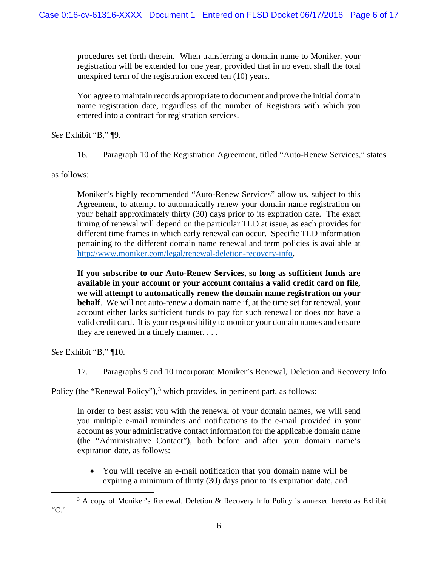procedures set forth therein. When transferring a domain name to Moniker, your registration will be extended for one year, provided that in no event shall the total unexpired term of the registration exceed ten (10) years.

You agree to maintain records appropriate to document and prove the initial domain name registration date, regardless of the number of Registrars with which you entered into a contract for registration services.

*See* Exhibit "B," ¶9.

16. Paragraph 10 of the Registration Agreement, titled "Auto-Renew Services," states

as follows:

Moniker's highly recommended "Auto-Renew Services" allow us, subject to this Agreement, to attempt to automatically renew your domain name registration on your behalf approximately thirty (30) days prior to its expiration date. The exact timing of renewal will depend on the particular TLD at issue, as each provides for different time frames in which early renewal can occur. Specific TLD information pertaining to the different domain name renewal and term policies is available at [http://www.moniker.com/legal/renewal-deletion-recovery-info.](http://www.moniker.com/legal/renewal-deletion-recovery-info)

**If you subscribe to our Auto-Renew Services, so long as sufficient funds are available in your account or your account contains a valid credit card on file, we will attempt to automatically renew the domain name registration on your behalf**. We will not auto-renew a domain name if, at the time set for renewal, your account either lacks sufficient funds to pay for such renewal or does not have a valid credit card. It is your responsibility to monitor your domain names and ensure they are renewed in a timely manner. . . .

*See* Exhibit "B," ¶10.

17. Paragraphs 9 and 10 incorporate Moniker's Renewal, Deletion and Recovery Info

Policy (the "Renewal Policy"),<sup>[3](#page-5-0)</sup> which provides, in pertinent part, as follows:

In order to best assist you with the renewal of your domain names, we will send you multiple e-mail reminders and notifications to the e-mail provided in your account as your administrative contact information for the applicable domain name (the "Administrative Contact"), both before and after your domain name's expiration date, as follows:

• You will receive an e-mail notification that you domain name will be expiring a minimum of thirty (30) days prior to its expiration date, and

<span id="page-5-0"></span>l <sup>3</sup> A copy of Moniker's Renewal, Deletion & Recovery Info Policy is annexed hereto as Exhibit "C."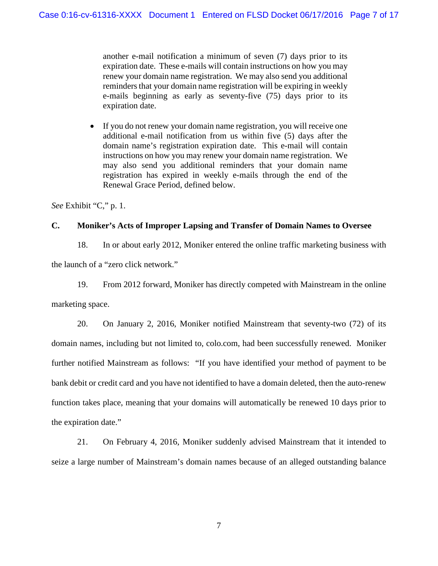another e-mail notification a minimum of seven (7) days prior to its expiration date. These e-mails will contain instructions on how you may renew your domain name registration. We may also send you additional reminders that your domain name registration will be expiring in weekly e-mails beginning as early as seventy-five (75) days prior to its expiration date.

• If you do not renew your domain name registration, you will receive one additional e-mail notification from us within five (5) days after the domain name's registration expiration date. This e-mail will contain instructions on how you may renew your domain name registration. We may also send you additional reminders that your domain name registration has expired in weekly e-mails through the end of the Renewal Grace Period, defined below.

*See* Exhibit "C," p. 1.

## **C. Moniker's Acts of Improper Lapsing and Transfer of Domain Names to Oversee**

18. In or about early 2012, Moniker entered the online traffic marketing business with

the launch of a "zero click network."

19. From 2012 forward, Moniker has directly competed with Mainstream in the online

marketing space.

20. On January 2, 2016, Moniker notified Mainstream that seventy-two (72) of its domain names, including but not limited to, colo.com, had been successfully renewed. Moniker further notified Mainstream as follows: "If you have identified your method of payment to be bank debit or credit card and you have not identified to have a domain deleted, then the auto-renew function takes place, meaning that your domains will automatically be renewed 10 days prior to the expiration date."

21. On February 4, 2016, Moniker suddenly advised Mainstream that it intended to seize a large number of Mainstream's domain names because of an alleged outstanding balance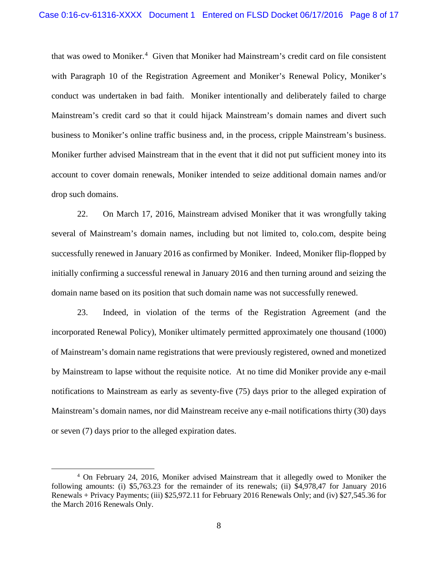that was owed to Moniker.<sup>[4](#page-7-0)</sup> Given that Moniker had Mainstream's credit card on file consistent with Paragraph 10 of the Registration Agreement and Moniker's Renewal Policy, Moniker's conduct was undertaken in bad faith. Moniker intentionally and deliberately failed to charge Mainstream's credit card so that it could hijack Mainstream's domain names and divert such business to Moniker's online traffic business and, in the process, cripple Mainstream's business. Moniker further advised Mainstream that in the event that it did not put sufficient money into its account to cover domain renewals, Moniker intended to seize additional domain names and/or drop such domains.

22. On March 17, 2016, Mainstream advised Moniker that it was wrongfully taking several of Mainstream's domain names, including but not limited to, colo.com, despite being successfully renewed in January 2016 as confirmed by Moniker. Indeed, Moniker flip-flopped by initially confirming a successful renewal in January 2016 and then turning around and seizing the domain name based on its position that such domain name was not successfully renewed.

23. Indeed, in violation of the terms of the Registration Agreement (and the incorporated Renewal Policy), Moniker ultimately permitted approximately one thousand (1000) of Mainstream's domain name registrations that were previously registered, owned and monetized by Mainstream to lapse without the requisite notice. At no time did Moniker provide any e-mail notifications to Mainstream as early as seventy-five (75) days prior to the alleged expiration of Mainstream's domain names, nor did Mainstream receive any e-mail notifications thirty (30) days or seven (7) days prior to the alleged expiration dates.

 $\overline{\phantom{a}}$ 

<span id="page-7-0"></span><sup>4</sup> On February 24, 2016, Moniker advised Mainstream that it allegedly owed to Moniker the following amounts: (i) \$5,763.23 for the remainder of its renewals; (ii) \$4,978,47 for January 2016 Renewals + Privacy Payments; (iii) \$25,972.11 for February 2016 Renewals Only; and (iv) \$27,545.36 for the March 2016 Renewals Only.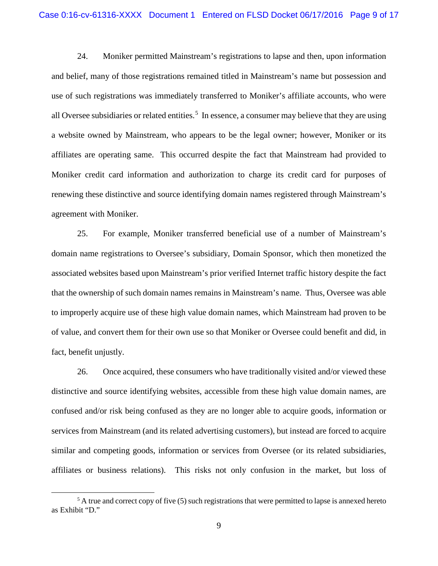24. Moniker permitted Mainstream's registrations to lapse and then, upon information and belief, many of those registrations remained titled in Mainstream's name but possession and use of such registrations was immediately transferred to Moniker's affiliate accounts, who were all Oversee subsidiaries or related entities.<sup>[5](#page-8-0)</sup> In essence, a consumer may believe that they are using a website owned by Mainstream, who appears to be the legal owner; however, Moniker or its affiliates are operating same. This occurred despite the fact that Mainstream had provided to Moniker credit card information and authorization to charge its credit card for purposes of renewing these distinctive and source identifying domain names registered through Mainstream's agreement with Moniker.

25. For example, Moniker transferred beneficial use of a number of Mainstream's domain name registrations to Oversee's subsidiary, Domain Sponsor, which then monetized the associated websites based upon Mainstream's prior verified Internet traffic history despite the fact that the ownership of such domain names remains in Mainstream's name. Thus, Oversee was able to improperly acquire use of these high value domain names, which Mainstream had proven to be of value, and convert them for their own use so that Moniker or Oversee could benefit and did, in fact, benefit unjustly.

26. Once acquired, these consumers who have traditionally visited and/or viewed these distinctive and source identifying websites, accessible from these high value domain names, are confused and/or risk being confused as they are no longer able to acquire goods, information or services from Mainstream (and its related advertising customers), but instead are forced to acquire similar and competing goods, information or services from Oversee (or its related subsidiaries, affiliates or business relations). This risks not only confusion in the market, but loss of

l

<span id="page-8-0"></span> $<sup>5</sup>$  A true and correct copy of five (5) such registrations that were permitted to lapse is annexed hereto</sup> as Exhibit "D."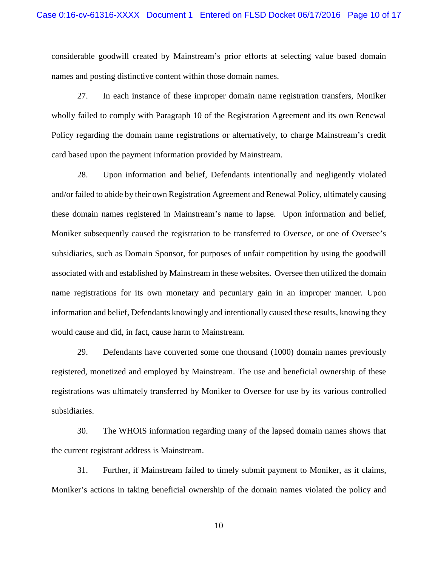considerable goodwill created by Mainstream's prior efforts at selecting value based domain names and posting distinctive content within those domain names.

27. In each instance of these improper domain name registration transfers, Moniker wholly failed to comply with Paragraph 10 of the Registration Agreement and its own Renewal Policy regarding the domain name registrations or alternatively, to charge Mainstream's credit card based upon the payment information provided by Mainstream.

28. Upon information and belief, Defendants intentionally and negligently violated and/or failed to abide by their own Registration Agreement and Renewal Policy, ultimately causing these domain names registered in Mainstream's name to lapse. Upon information and belief, Moniker subsequently caused the registration to be transferred to Oversee, or one of Oversee's subsidiaries, such as Domain Sponsor, for purposes of unfair competition by using the goodwill associated with and established by Mainstream in these websites. Oversee then utilized the domain name registrations for its own monetary and pecuniary gain in an improper manner. Upon information and belief, Defendants knowingly and intentionally caused these results, knowing they would cause and did, in fact, cause harm to Mainstream.

29. Defendants have converted some one thousand (1000) domain names previously registered, monetized and employed by Mainstream. The use and beneficial ownership of these registrations was ultimately transferred by Moniker to Oversee for use by its various controlled subsidiaries.

30. The WHOIS information regarding many of the lapsed domain names shows that the current registrant address is Mainstream.

31. Further, if Mainstream failed to timely submit payment to Moniker, as it claims, Moniker's actions in taking beneficial ownership of the domain names violated the policy and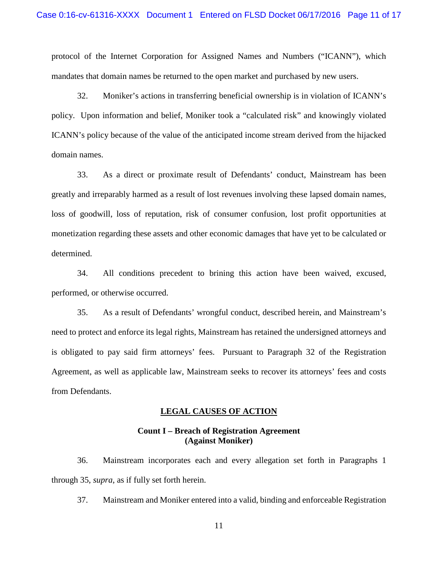protocol of the Internet Corporation for Assigned Names and Numbers ("ICANN"), which mandates that domain names be returned to the open market and purchased by new users.

32. Moniker's actions in transferring beneficial ownership is in violation of ICANN's policy. Upon information and belief, Moniker took a "calculated risk" and knowingly violated ICANN's policy because of the value of the anticipated income stream derived from the hijacked domain names.

33. As a direct or proximate result of Defendants' conduct, Mainstream has been greatly and irreparably harmed as a result of lost revenues involving these lapsed domain names, loss of goodwill, loss of reputation, risk of consumer confusion, lost profit opportunities at monetization regarding these assets and other economic damages that have yet to be calculated or determined.

34. All conditions precedent to brining this action have been waived, excused, performed, or otherwise occurred.

35. As a result of Defendants' wrongful conduct, described herein, and Mainstream's need to protect and enforce its legal rights, Mainstream has retained the undersigned attorneys and is obligated to pay said firm attorneys' fees. Pursuant to Paragraph 32 of the Registration Agreement, as well as applicable law, Mainstream seeks to recover its attorneys' fees and costs from Defendants.

#### **LEGAL CAUSES OF ACTION**

### **Count I – Breach of Registration Agreement (Against Moniker)**

36. Mainstream incorporates each and every allegation set forth in Paragraphs 1 through 35, *supra*, as if fully set forth herein.

37. Mainstream and Moniker entered into a valid, binding and enforceable Registration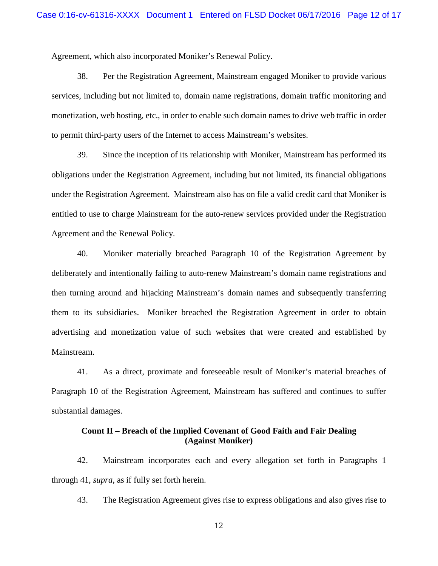Agreement, which also incorporated Moniker's Renewal Policy.

38. Per the Registration Agreement, Mainstream engaged Moniker to provide various services, including but not limited to, domain name registrations, domain traffic monitoring and monetization, web hosting, etc., in order to enable such domain names to drive web traffic in order to permit third-party users of the Internet to access Mainstream's websites.

39. Since the inception of its relationship with Moniker, Mainstream has performed its obligations under the Registration Agreement, including but not limited, its financial obligations under the Registration Agreement. Mainstream also has on file a valid credit card that Moniker is entitled to use to charge Mainstream for the auto-renew services provided under the Registration Agreement and the Renewal Policy.

40. Moniker materially breached Paragraph 10 of the Registration Agreement by deliberately and intentionally failing to auto-renew Mainstream's domain name registrations and then turning around and hijacking Mainstream's domain names and subsequently transferring them to its subsidiaries. Moniker breached the Registration Agreement in order to obtain advertising and monetization value of such websites that were created and established by Mainstream.

41. As a direct, proximate and foreseeable result of Moniker's material breaches of Paragraph 10 of the Registration Agreement, Mainstream has suffered and continues to suffer substantial damages.

### **Count II – Breach of the Implied Covenant of Good Faith and Fair Dealing (Against Moniker)**

42. Mainstream incorporates each and every allegation set forth in Paragraphs 1 through 41, *supra*, as if fully set forth herein.

43. The Registration Agreement gives rise to express obligations and also gives rise to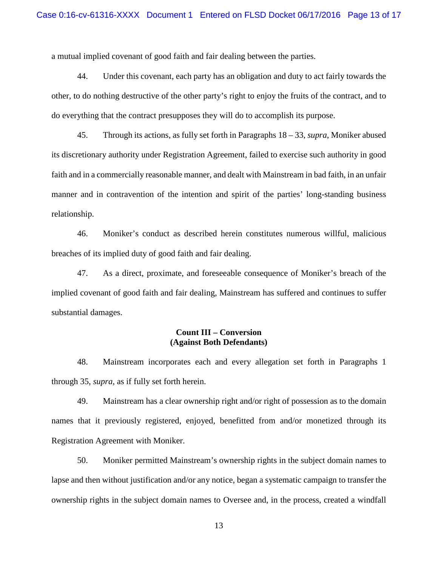a mutual implied covenant of good faith and fair dealing between the parties.

44. Under this covenant, each party has an obligation and duty to act fairly towards the other, to do nothing destructive of the other party's right to enjoy the fruits of the contract, and to do everything that the contract presupposes they will do to accomplish its purpose.

45. Through its actions, as fully set forth in Paragraphs 18 – 33, *supra*, Moniker abused its discretionary authority under Registration Agreement, failed to exercise such authority in good faith and in a commercially reasonable manner, and dealt with Mainstream in bad faith, in an unfair manner and in contravention of the intention and spirit of the parties' long-standing business relationship.

46. Moniker's conduct as described herein constitutes numerous willful, malicious breaches of its implied duty of good faith and fair dealing.

47. As a direct, proximate, and foreseeable consequence of Moniker's breach of the implied covenant of good faith and fair dealing, Mainstream has suffered and continues to suffer substantial damages.

## **Count III – Conversion (Against Both Defendants)**

48. Mainstream incorporates each and every allegation set forth in Paragraphs 1 through 35, *supra*, as if fully set forth herein.

49. Mainstream has a clear ownership right and/or right of possession as to the domain names that it previously registered, enjoyed, benefitted from and/or monetized through its Registration Agreement with Moniker.

50. Moniker permitted Mainstream's ownership rights in the subject domain names to lapse and then without justification and/or any notice, began a systematic campaign to transfer the ownership rights in the subject domain names to Oversee and, in the process, created a windfall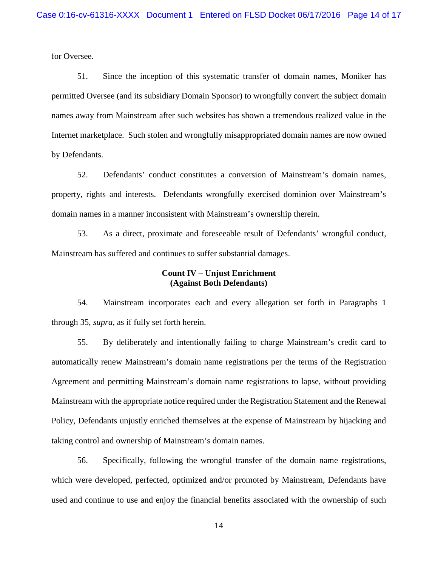for Oversee.

51. Since the inception of this systematic transfer of domain names, Moniker has permitted Oversee (and its subsidiary Domain Sponsor) to wrongfully convert the subject domain names away from Mainstream after such websites has shown a tremendous realized value in the Internet marketplace. Such stolen and wrongfully misappropriated domain names are now owned by Defendants.

52. Defendants' conduct constitutes a conversion of Mainstream's domain names, property, rights and interests. Defendants wrongfully exercised dominion over Mainstream's domain names in a manner inconsistent with Mainstream's ownership therein.

53. As a direct, proximate and foreseeable result of Defendants' wrongful conduct, Mainstream has suffered and continues to suffer substantial damages.

### **Count IV – Unjust Enrichment (Against Both Defendants)**

54. Mainstream incorporates each and every allegation set forth in Paragraphs 1 through 35, *supra*, as if fully set forth herein.

55. By deliberately and intentionally failing to charge Mainstream's credit card to automatically renew Mainstream's domain name registrations per the terms of the Registration Agreement and permitting Mainstream's domain name registrations to lapse, without providing Mainstream with the appropriate notice required under the Registration Statement and the Renewal Policy, Defendants unjustly enriched themselves at the expense of Mainstream by hijacking and taking control and ownership of Mainstream's domain names.

56. Specifically, following the wrongful transfer of the domain name registrations, which were developed, perfected, optimized and/or promoted by Mainstream, Defendants have used and continue to use and enjoy the financial benefits associated with the ownership of such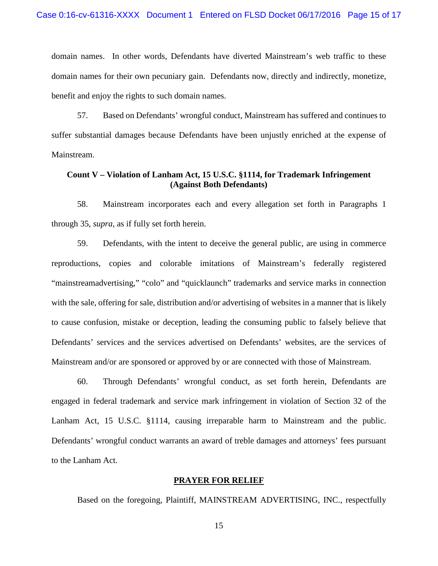domain names. In other words, Defendants have diverted Mainstream's web traffic to these domain names for their own pecuniary gain. Defendants now, directly and indirectly, monetize, benefit and enjoy the rights to such domain names.

57. Based on Defendants' wrongful conduct, Mainstream has suffered and continues to suffer substantial damages because Defendants have been unjustly enriched at the expense of Mainstream.

## **Count V – Violation of Lanham Act, 15 U.S.C. §1114, for Trademark Infringement (Against Both Defendants)**

58. Mainstream incorporates each and every allegation set forth in Paragraphs 1 through 35, *supra*, as if fully set forth herein.

59. Defendants, with the intent to deceive the general public, are using in commerce reproductions, copies and colorable imitations of Mainstream's federally registered "mainstreamadvertising," "colo" and "quicklaunch" trademarks and service marks in connection with the sale, offering for sale, distribution and/or advertising of websites in a manner that is likely to cause confusion, mistake or deception, leading the consuming public to falsely believe that Defendants' services and the services advertised on Defendants' websites, are the services of Mainstream and/or are sponsored or approved by or are connected with those of Mainstream.

60. Through Defendants' wrongful conduct, as set forth herein, Defendants are engaged in federal trademark and service mark infringement in violation of Section 32 of the Lanham Act, 15 U.S.C. §1114, causing irreparable harm to Mainstream and the public. Defendants' wrongful conduct warrants an award of treble damages and attorneys' fees pursuant to the Lanham Act.

#### **PRAYER FOR RELIEF**

Based on the foregoing, Plaintiff, MAINSTREAM ADVERTISING, INC., respectfully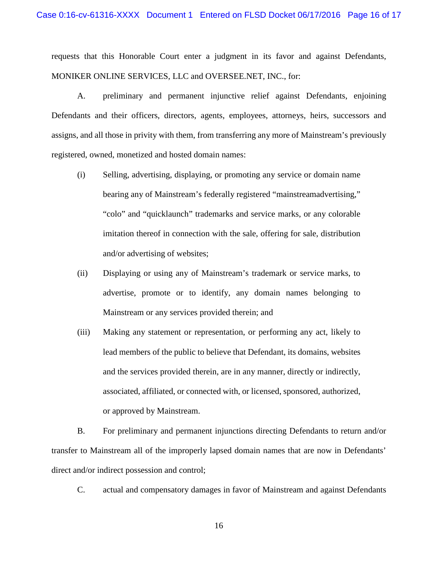requests that this Honorable Court enter a judgment in its favor and against Defendants, MONIKER ONLINE SERVICES, LLC and OVERSEE.NET, INC., for:

A. preliminary and permanent injunctive relief against Defendants, enjoining Defendants and their officers, directors, agents, employees, attorneys, heirs, successors and assigns, and all those in privity with them, from transferring any more of Mainstream's previously registered, owned, monetized and hosted domain names:

- (i) Selling, advertising, displaying, or promoting any service or domain name bearing any of Mainstream's federally registered "mainstreamadvertising," "colo" and "quicklaunch" trademarks and service marks, or any colorable imitation thereof in connection with the sale, offering for sale, distribution and/or advertising of websites;
- (ii) Displaying or using any of Mainstream's trademark or service marks, to advertise, promote or to identify, any domain names belonging to Mainstream or any services provided therein; and
- (iii) Making any statement or representation, or performing any act, likely to lead members of the public to believe that Defendant, its domains, websites and the services provided therein, are in any manner, directly or indirectly, associated, affiliated, or connected with, or licensed, sponsored, authorized, or approved by Mainstream.

B. For preliminary and permanent injunctions directing Defendants to return and/or transfer to Mainstream all of the improperly lapsed domain names that are now in Defendants' direct and/or indirect possession and control;

C. actual and compensatory damages in favor of Mainstream and against Defendants